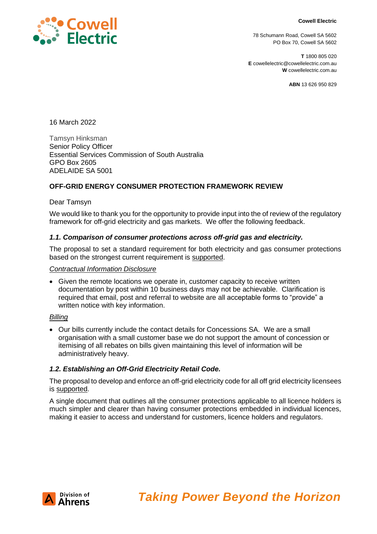#### **Cowell Electric**



78 Schumann Road, Cowell SA 5602 PO Box 70, Cowell SA 5602

**T** 1800 805 020 **E** cowellelectric@cowellelectric.com.au **W** cowellelectric.com.au

**ABN** 13 626 950 829

16 March 2022

Tamsyn Hinksman Senior Policy Officer Essential Services Commission of South Australia GPO Box 2605 ADELAIDE SA 5001

# **OFF-GRID ENERGY CONSUMER PROTECTION FRAMEWORK REVIEW**

Dear Tamsyn

We would like to thank you for the opportunity to provide input into the of review of the regulatory framework for off-grid electricity and gas markets. We offer the following feedback.

#### *1.1. Comparison of consumer protections across off-grid gas and electricity.*

The proposal to set a standard requirement for both electricity and gas consumer protections based on the strongest current requirement is supported.

#### *Contractual Information Disclosure*

• Given the remote locations we operate in, customer capacity to receive written documentation by post within 10 business days may not be achievable. Clarification is required that email, post and referral to website are all acceptable forms to "provide" a written notice with key information.

#### *Billing*

• Our bills currently include the contact details for Concessions SA. We are a small organisation with a small customer base we do not support the amount of concession or itemising of all rebates on bills given maintaining this level of information will be administratively heavy.

#### *1.2. Establishing an Off-Grid Electricity Retail Code.*

The proposal to develop and enforce an off-grid electricity code for all off grid electricity licensees is supported.

A single document that outlines all the consumer protections applicable to all licence holders is much simpler and clearer than having consumer protections embedded in individual licences, making it easier to access and understand for customers, licence holders and regulators.

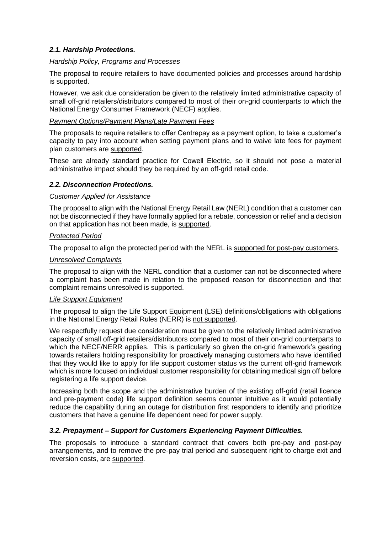# *2.1. Hardship Protections.*

#### *Hardship Policy, Programs and Processes*

The proposal to require retailers to have documented policies and processes around hardship is supported.

However, we ask due consideration be given to the relatively limited administrative capacity of small off-grid retailers/distributors compared to most of their on-grid counterparts to which the National Energy Consumer Framework (NECF) applies.

## *Payment Options/Payment Plans/Late Payment Fees*

The proposals to require retailers to offer Centrepay as a payment option, to take a customer's capacity to pay into account when setting payment plans and to waive late fees for payment plan customers are supported.

These are already standard practice for Cowell Electric, so it should not pose a material administrative impact should they be required by an off-grid retail code.

## *2.2. Disconnection Protections.*

## *Customer Applied for Assistance*

The proposal to align with the National Energy Retail Law (NERL) condition that a customer can not be disconnected if they have formally applied for a rebate, concession or relief and a decision on that application has not been made, is supported.

## *Protected Period*

The proposal to align the protected period with the NERL is supported for post-pay customers.

## *Unresolved Complaints*

The proposal to align with the NERL condition that a customer can not be disconnected where a complaint has been made in relation to the proposed reason for disconnection and that complaint remains unresolved is supported.

## *Life Support Equipment*

The proposal to align the Life Support Equipment (LSE) definitions/obligations with obligations in the National Energy Retail Rules (NERR) is not supported.

We respectfully request due consideration must be given to the relatively limited administrative capacity of small off-grid retailers/distributors compared to most of their on-grid counterparts to which the NECF/NERR applies. This is particularly so given the on-grid framework's gearing towards retailers holding responsibility for proactively managing customers who have identified that they would like to apply for life support customer status vs the current off-grid framework which is more focused on individual customer responsibility for obtaining medical sign off before registering a life support device.

Increasing both the scope and the administrative burden of the existing off-grid (retail licence and pre-payment code) life support definition seems counter intuitive as it would potentially reduce the capability during an outage for distribution first responders to identify and prioritize customers that have a genuine life dependent need for power supply.

# *3.2. Prepayment – Support for Customers Experiencing Payment Difficulties.*

The proposals to introduce a standard contract that covers both pre-pay and post-pay arrangements, and to remove the pre-pay trial period and subsequent right to charge exit and reversion costs, are supported.